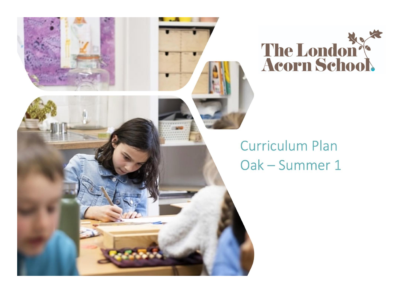



## **Curriculum Plan** Oak - Summer 1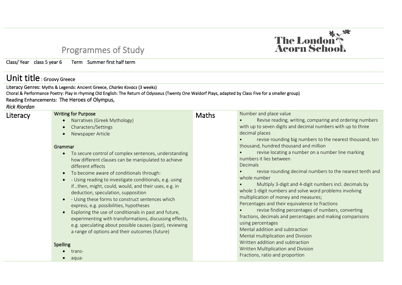## Programmes of Study

Class/ Year class 5 year 6 Term Summer first half term

## Unit title : Groovy Greece

Literacy Genres: Myths & Legends: Ancient Greece, *Charles Kovacs* (3 weeks) Choral & Performance Poetry: Play in rhyming Old English: The Return of Odysseus (Twenty One Waldorf Plays, adapted by Class Five for a smaller group) Reading Enhancements: The Heroes of Olympus,

*Rick Riordan*

| Literacy | <b>Writing for Purpose</b>                                           | <b>Maths</b> | Number and place value                                       |
|----------|----------------------------------------------------------------------|--------------|--------------------------------------------------------------|
|          | Narratives (Greek Mythology)                                         |              | Revise reading, writing, comparing and ordering numbers      |
|          | Characters/Settings<br>$\bullet$                                     |              | with up to seven digits and decimal numbers with up to three |
|          | Newspaper Article                                                    |              | decimal places                                               |
|          |                                                                      |              | revise rounding big numbers to the nearest thousand, ten     |
|          | Grammar                                                              |              | thousand, hundred thousand and million                       |
|          | To secure control of complex sentences, understanding<br>$\bullet$   |              | revise locating a number on a number line marking            |
|          | how different clauses can be manipulated to achieve                  |              | numbers it lies between                                      |
|          | different effects                                                    |              | Decimals                                                     |
|          | To become aware of conditionals through:<br>$\bullet$                |              | revise rounding decimal numbers to the nearest tenth and     |
|          | - Using reading to investigate conditionals, e.g. using<br>$\bullet$ |              | whole number                                                 |
|          | ifthen, might, could, would, and their uses, e.g. in                 |              | Multiply 3-digit and 4-digit numbers incl. decimals by       |
|          | deduction, speculation, supposition                                  |              | whole 1-digit numbers and solve word problems involving      |
|          | - Using these forms to construct sentences which<br>$\bullet$        |              | multiplication of money and measures;                        |
|          | express, e.g. possibilities, hypotheses                              |              | Percentages and their equivalence to fractions               |
|          | Exploring the use of conditionals in past and future,                |              | revise finding percentages of numbers, converting            |
|          | experimenting with transformations, discussing effects,              |              | fractions, decimals and percentages and making comparisons   |
|          | e.g. speculating about possible causes (past), reviewing             |              | using percentages                                            |
|          | a range of options and their outcomes (future)                       |              | Mental addition and subtraction                              |
|          |                                                                      |              | Mental multiplication and Division                           |
|          |                                                                      |              | Written addition and subtraction                             |
|          | <b>Spelling</b>                                                      |              | Written Multiplication and Division                          |
|          | trans-                                                               |              | Fractions, ratio and proportion                              |
|          | aqua-                                                                |              |                                                              |

The London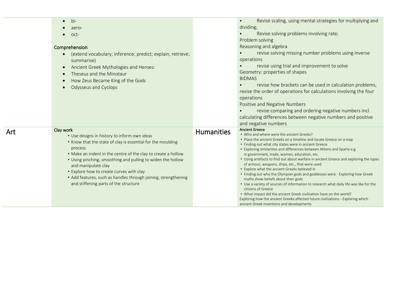| $bi-$<br>$\bullet$<br>aero-<br>oct-<br>Comprehension<br>(extend vocabulary; inference; predict; explain; retrieve;<br>$\bullet$<br>summarise)<br>Ancient Greek Mythologies and Heroes:<br>$\bullet$<br>Theseus and the Minotaur<br>$\bullet$<br>How Zeus Became King of the Gods<br>$\bullet$<br>Odysseus and Cyclops<br>$\bullet$                                                                                                                |                   | Revise scaling, using mental strategies for multiplying and<br>$\bullet$<br>dividing;<br>Revise solving problems involving rate;<br>Problem solving<br>Reasoning and algebra<br>revise solving missing number problems using inverse<br>operations<br>revise using trial and improvement to solve<br>Geometry: properties of shapes<br><b>BIDMAS</b><br>revise how brackets can be used in calculation problems,<br>revise the order of operations for calculations involving the four<br>operations<br>Positive and Negative Numbers<br>revise comparing and ordering negative numbers incl.<br>calculating differences between negative numbers and positive<br>and negative numbers                                                                                                                                                                                                                                                                                   |
|---------------------------------------------------------------------------------------------------------------------------------------------------------------------------------------------------------------------------------------------------------------------------------------------------------------------------------------------------------------------------------------------------------------------------------------------------|-------------------|--------------------------------------------------------------------------------------------------------------------------------------------------------------------------------------------------------------------------------------------------------------------------------------------------------------------------------------------------------------------------------------------------------------------------------------------------------------------------------------------------------------------------------------------------------------------------------------------------------------------------------------------------------------------------------------------------------------------------------------------------------------------------------------------------------------------------------------------------------------------------------------------------------------------------------------------------------------------------|
| Clay work<br>• Use designs in history to inform own ideas<br>• Know that the state of clay is essential for the moulding<br>process<br>. Make an indent in the centre of the clay to create a hollow<br>• Using pinching, smoothing and pulling to widen the hollow<br>and manipulate clay<br>• Explore how to create curves with clay<br>• Add features, such as handles through joining, strengthening<br>and stiffening parts of the structure | <b>Humanities</b> | <b>Ancient Greece</b><br>• Who and where were the ancient Greeks?<br>• Place the ancient Greeks on a timeline and locate Greece on a map<br>• Finding out what city states were in ancient Greece<br>• Exploring similarities and differences between Athens and Sparta e.g.<br>in government, trade, women, education, etc.<br>• Using artefacts to find out about warfare in ancient Greece and exploring the types<br>of armour, weapons, ships, etc., that were used<br>• Explore what the ancient Greeks believed in<br>• Finding out who the Olympian gods and goddesses were - Exploring how Greek<br>myths show beliefs about their gods<br>• Use a variety of sources of information to research what daily life was like for the<br>citizens of Greece<br>• What impact did the ancient Greek civilisation have on the world?<br>Exploring how the ancient Greeks affected future civilisations - Exploring which<br>ancient Greek inventions and developments |

Art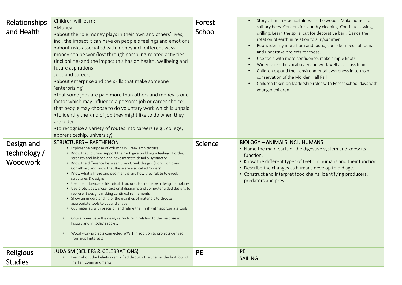| Relationships<br>and Health            | Children will learn:<br>•Money<br>• about the role money plays in their own and others' lives,<br>incl. the impact it can have on people's feelings and emotions<br>.about risks associated with money incl. different ways<br>money can be won/lost through gambling-related activities<br>(incl online) and the impact this has on health, wellbeing and<br>future aspirations<br>Jobs and careers<br>• about enterprise and the skills that make someone<br>'enterprising'<br>•that some jobs are paid more than others and money is one<br>factor which may influence a person's job or career choice;<br>that people may choose to do voluntary work which is unpaid<br>• to identify the kind of job they might like to do when they<br>are older<br>• to recognise a variety of routes into careers (e.g., college,<br>apprenticeship, university)                                                                                                                                                                                                                       | Forest<br>School | Story: Tamlin - peacefulness in the woods. Make homes for<br>solitary bees. Conkers for laundry cleaning. Continue sawing,<br>drilling. Learn the spiral cut for decorative bark. Dance the<br>rotation of earth in relation to sun/summer<br>Pupils identify more flora and fauna, consider needs of fauna<br>$\bullet$<br>and undertake projects for these.<br>Use tools with more confidence, make simple knots.<br>Widen scientific vocabulary and work well as a class team.<br>Children expand their environmental awareness in terms of<br>conservation of the Morden Hall Park.<br>Children taken on leadership roles with Forest school days with<br>$\bullet$<br>younger children |
|----------------------------------------|---------------------------------------------------------------------------------------------------------------------------------------------------------------------------------------------------------------------------------------------------------------------------------------------------------------------------------------------------------------------------------------------------------------------------------------------------------------------------------------------------------------------------------------------------------------------------------------------------------------------------------------------------------------------------------------------------------------------------------------------------------------------------------------------------------------------------------------------------------------------------------------------------------------------------------------------------------------------------------------------------------------------------------------------------------------------------------|------------------|---------------------------------------------------------------------------------------------------------------------------------------------------------------------------------------------------------------------------------------------------------------------------------------------------------------------------------------------------------------------------------------------------------------------------------------------------------------------------------------------------------------------------------------------------------------------------------------------------------------------------------------------------------------------------------------------|
| Design and<br>technology /<br>Woodwork | <b>STRUCTURES - PARTHENON</b><br>• Explore the purpose of columns in Greek architecture<br>• Know that columns support the roof, give buildings a feeling of order,<br>strength and balance and have intricate detail & symmetry<br>• Know the difference between 3 key Greek designs (Doric, Ionic and<br>Corinthian) and know that these are also called 'orders'<br>• Know what a frieze and pediment is and how they relate to Greek<br>structures & designs<br>• Use the influence of historical structures to create own design templates<br>• Use prototypes, cross- sectional diagrams and computer aided designs to<br>represent designs making continual refinements<br>• Show an understanding of the qualities of materials to choose<br>appropriate tools to cut and shape<br>• Cut materials with precision and refine the finish with appropriate tools<br>Critically evaluate the design structure in relation to the purpose in<br>history and in today's society<br>Wood work projects connected WW 1 in addition to projects derived<br>from pupil interests | Science          | <b>BIOLOGY - ANIMALS INCL. HUMANS</b><br>• Name the main parts of the digestive system and know its<br>function.<br>• Know the different types of teeth in humans and their function.<br>• Describe the changes as humans develop to old age.<br>• Construct and interpret food chains, identifying producers,<br>predators and prey.                                                                                                                                                                                                                                                                                                                                                       |
| Religious<br><b>Studies</b>            | <b>JUDAISM (BELIEFS &amp; CELEBRATIONS)</b><br>Learn about the beliefs exemplified through The Shema, the first four of<br>the Ten Commandments,                                                                                                                                                                                                                                                                                                                                                                                                                                                                                                                                                                                                                                                                                                                                                                                                                                                                                                                                | <b>PE</b>        | <b>PE</b><br><b>SAILING</b>                                                                                                                                                                                                                                                                                                                                                                                                                                                                                                                                                                                                                                                                 |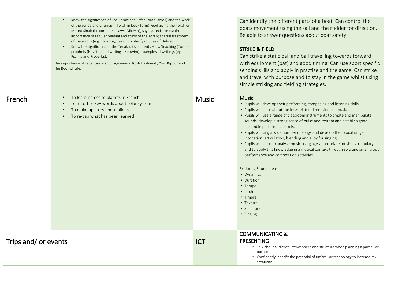|                     | Know the significance of The Torah: the Sefer Torah (scroll) and the work<br>of the scribe and Chumash (Torah in book form); God giving the Torah on<br>Mount Sinai; the contents – laws (Mitzvot), sayings and stories; the<br>importance of regular reading and study of the Torah; special treatment<br>of the scrolls (e.g. covering, use of pointer (yad); use of Hebrew.<br>Know the significance of the Tenakh: its contents - law/teaching (Torah),<br>prophets (Nevi'im) and writings (Ketuvim); examples of writings (eg<br>Psalms and Proverbs).<br>The importance of repentance and forgiveness: Rosh Hashanah, Yom Kippur and<br>The Book of Life. |              | Can identify the different parts of a boat. Can control the<br>boats movement using the sail and the rudder for direction.<br>Be able to answer questions about boat safety.<br><b>STRIKE &amp; FIELD</b><br>Can strike a static ball and ball travelling towards forward<br>with equipment (bat) and good timing. Can use sport specific<br>sending skills and apply in practise and the game. Can strike<br>and travel with purpose and to stay in the game whilst using<br>simple striking and fielding strategies.                                                                                                                                                                                                                                                                                                                        |
|---------------------|-----------------------------------------------------------------------------------------------------------------------------------------------------------------------------------------------------------------------------------------------------------------------------------------------------------------------------------------------------------------------------------------------------------------------------------------------------------------------------------------------------------------------------------------------------------------------------------------------------------------------------------------------------------------|--------------|-----------------------------------------------------------------------------------------------------------------------------------------------------------------------------------------------------------------------------------------------------------------------------------------------------------------------------------------------------------------------------------------------------------------------------------------------------------------------------------------------------------------------------------------------------------------------------------------------------------------------------------------------------------------------------------------------------------------------------------------------------------------------------------------------------------------------------------------------|
| French              | To learn names of planets in French<br>Learn other key words about solar system<br>To make up story about aliens<br>To re-cap what has been learned                                                                                                                                                                                                                                                                                                                                                                                                                                                                                                             | <b>Music</b> | <b>Music</b><br>• Pupils will develop their performing, composing and listening skills<br>• Pupils will learn about the interrelated dimensions of music<br>• Pupils will use a range of classroom instruments to create and manipulate<br>sounds, develop a strong sense of pulse and rhythm and establish good<br>ensemble performance skills.<br>• Pupils will sing a wide number of songs and develop their vocal range,<br>intonation, articulation, blending and a joy for singing.<br>• Pupils will learn to analyse music using age-appropriate musical vocabulary<br>and to apply this knowledge in a musical context through solo and small group<br>performance and composition activities.<br><b>Exploring Sound Ideas</b><br>• Dynamics<br>• Duration<br>• Tempo<br>• Pitch<br>• Timbre<br>• Texture<br>• Structure<br>• Singing |
| Trips and/or events |                                                                                                                                                                                                                                                                                                                                                                                                                                                                                                                                                                                                                                                                 | <b>ICT</b>   | <b>COMMUNICATING &amp;</b><br><b>PRESENTING</b><br>• Talk about audience, atmosphere and structure when planning a particular<br>outcome.<br>• Confidently identify the potential of unfamiliar technology to increase my<br>creativity.                                                                                                                                                                                                                                                                                                                                                                                                                                                                                                                                                                                                      |